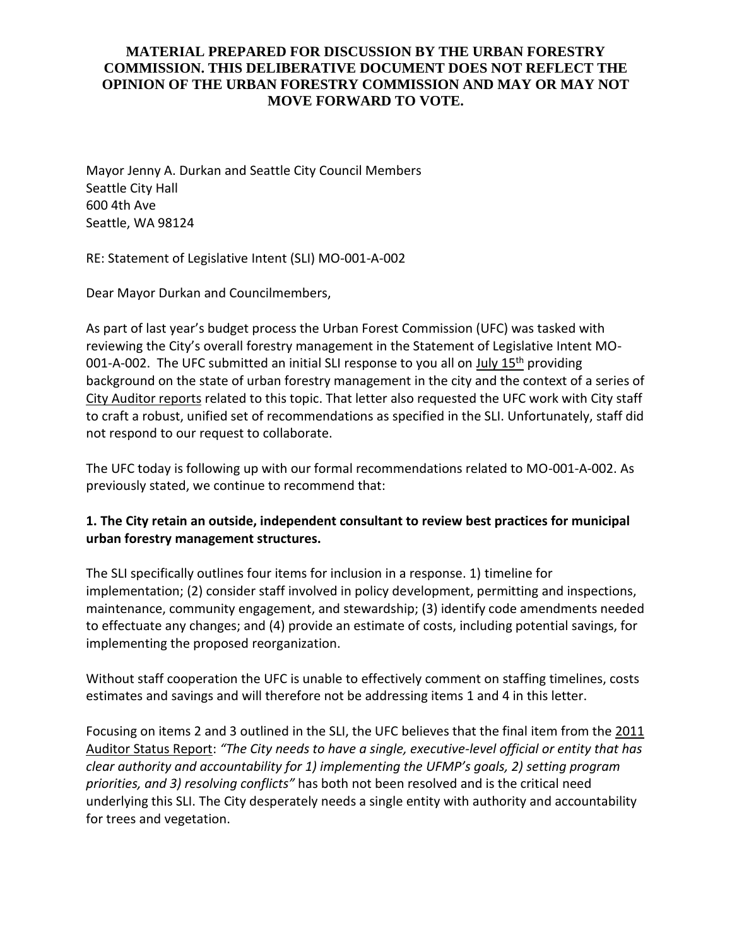## **MATERIAL PREPARED FOR DISCUSSION BY THE URBAN FORESTRY COMMISSION. THIS DELIBERATIVE DOCUMENT DOES NOT REFLECT THE OPINION OF THE URBAN FORESTRY COMMISSION AND MAY OR MAY NOT MOVE FORWARD TO VOTE.**

Mayor Jenny A. Durkan and Seattle City Council Members Seattle City Hall 600 4th Ave Seattle, WA 98124

RE: Statement of Legislative Intent (SLI) MO-001-A-002

Dear Mayor Durkan and Councilmembers,

As part of last year's budget process the Urban Forest Commission (UFC) was tasked with reviewing the City's overall forestry management in the Statement of Legislative Intent MO-001-A-002. The UFC submitted an initial SLI response to you all on  $July 15<sup>th</sup>$  providing background on the state of urban forestry management in the city and the context of a series of City Auditor reports related to this topic. That letter also requested the UFC work with City staff to craft a robust, unified set of recommendations as specified in the SLI. Unfortunately, staff did not respond to our request to collaborate.

The UFC today is following up with our formal recommendations related to MO-001-A-002. As previously stated, we continue to recommend that:

## **1. The City retain an outside, independent consultant to review best practices for municipal urban forestry management structures.**

The SLI specifically outlines four items for inclusion in a response. 1) timeline for implementation; (2) consider staff involved in policy development, permitting and inspections, maintenance, community engagement, and stewardship; (3) identify code amendments needed to effectuate any changes; and (4) provide an estimate of costs, including potential savings, for implementing the proposed reorganization.

Without staff cooperation the UFC is unable to effectively comment on staffing timelines, costs estimates and savings and will therefore not be addressing items 1 and 4 in this letter.

Focusing on items 2 and 3 outlined in the SLI, the UFC believes that the final item from the 2011 Auditor Status Report: *"The City needs to have a single, executive-level official or entity that has clear authority and accountability for 1) implementing the UFMP's goals, 2) setting program priorities, and 3) resolving conflicts"* has both not been resolved and is the critical need underlying this SLI. The City desperately needs a single entity with authority and accountability for trees and vegetation.